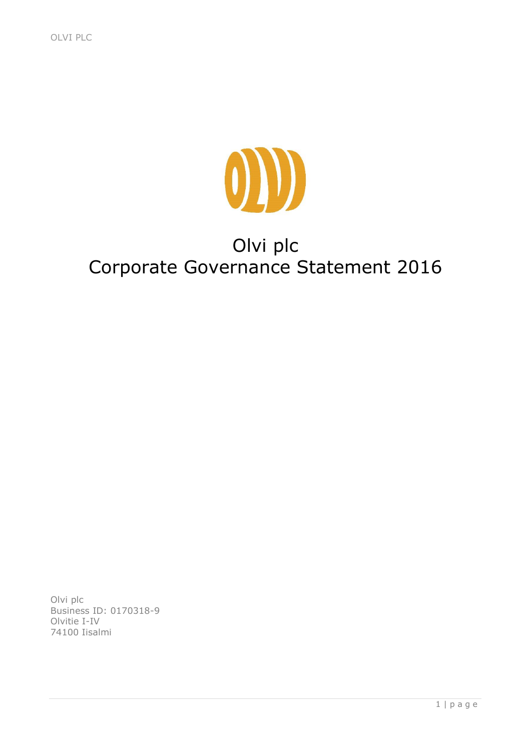

# Olvi plc Corporate Governance Statement 2016

Olvi plc Business ID: 0170318-9 Olvitie I-IV 74100 Iisalmi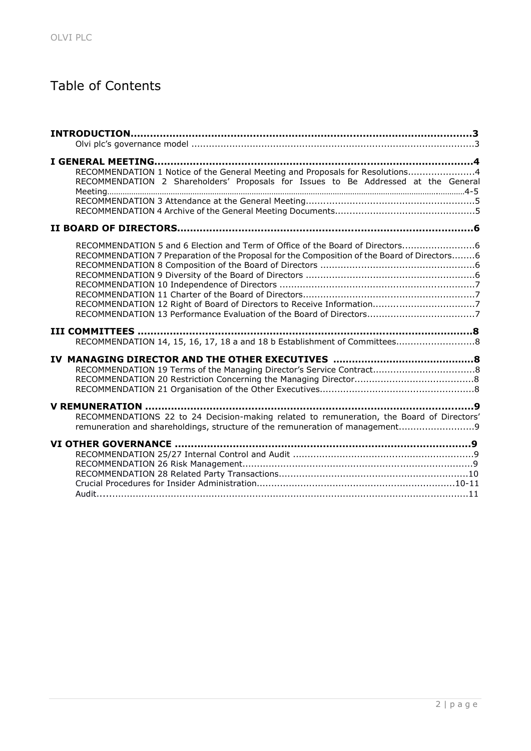## Table of Contents

| RECOMMENDATION 1 Notice of the General Meeting and Proposals for Resolutions4               |  |
|---------------------------------------------------------------------------------------------|--|
| RECOMMENDATION 2 Shareholders' Proposals for Issues to Be Addressed at the General          |  |
|                                                                                             |  |
|                                                                                             |  |
|                                                                                             |  |
|                                                                                             |  |
| RECOMMENDATION 5 and 6 Election and Term of Office of the Board of Directors                |  |
| RECOMMENDATION 7 Preparation of the Proposal for the Composition of the Board of Directors6 |  |
|                                                                                             |  |
|                                                                                             |  |
|                                                                                             |  |
|                                                                                             |  |
|                                                                                             |  |
|                                                                                             |  |
|                                                                                             |  |
| RECOMMENDATION 14, 15, 16, 17, 18 a and 18 b Establishment of Committees8                   |  |
|                                                                                             |  |
|                                                                                             |  |
|                                                                                             |  |
|                                                                                             |  |
|                                                                                             |  |
| RECOMMENDATIONS 22 to 24 Decision-making related to remuneration, the Board of Directors'   |  |
| remuneration and shareholdings, structure of the remuneration of management                 |  |
|                                                                                             |  |
|                                                                                             |  |
|                                                                                             |  |
|                                                                                             |  |
|                                                                                             |  |
|                                                                                             |  |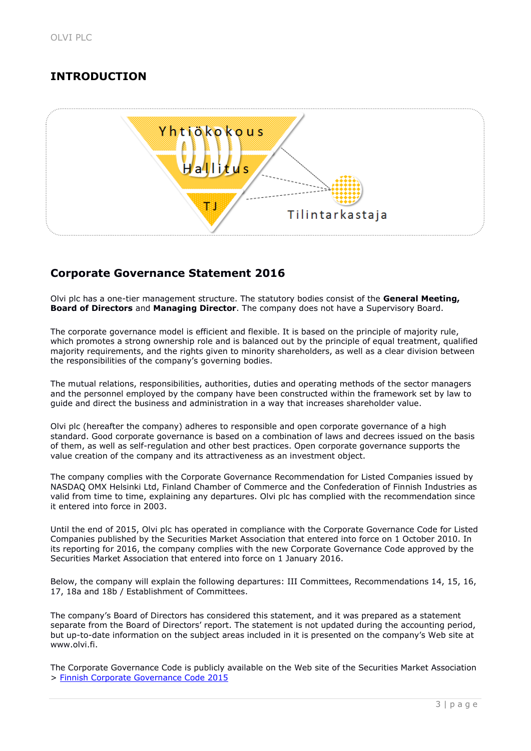## **INTRODUCTION**



## **Corporate Governance Statement 2016**

Olvi plc has a one-tier management structure. The statutory bodies consist of the **General Meeting, Board of Directors** and **Managing Director**. The company does not have a Supervisory Board.

The corporate governance model is efficient and flexible. It is based on the principle of majority rule, which promotes a strong ownership role and is balanced out by the principle of equal treatment, qualified majority requirements, and the rights given to minority shareholders, as well as a clear division between the responsibilities of the company's governing bodies.

The mutual relations, responsibilities, authorities, duties and operating methods of the sector managers and the personnel employed by the company have been constructed within the framework set by law to guide and direct the business and administration in a way that increases shareholder value.

Olvi plc (hereafter the company) adheres to responsible and open corporate governance of a high standard. Good corporate governance is based on a combination of laws and decrees issued on the basis of them, as well as self-regulation and other best practices. Open corporate governance supports the value creation of the company and its attractiveness as an investment object.

The company complies with the Corporate Governance Recommendation for Listed Companies issued by NASDAQ OMX Helsinki Ltd, Finland Chamber of Commerce and the Confederation of Finnish Industries as valid from time to time, explaining any departures. Olvi plc has complied with the recommendation since it entered into force in 2003.

Until the end of 2015, Olvi plc has operated in compliance with the Corporate Governance Code for Listed Companies published by the Securities Market Association that entered into force on 1 October 2010. In its reporting for 2016, the company complies with the new Corporate Governance Code approved by the Securities Market Association that entered into force on 1 January 2016.

Below, the company will explain the following departures: III Committees, Recommendations 14, 15, 16, 17, 18a and 18b / Establishment of Committees.

The company's Board of Directors has considered this statement, and it was prepared as a statement separate from the Board of Directors' report. The statement is not updated during the accounting period, but up-to-date information on the subject areas included in it is presented on the company's Web site at www.olvi.fi.

The Corporate Governance Code is publicly available on the Web site of the Securities Market Association > [Finnish Corporate Governance Code 2015](http://cgfinland.fi/files/2012/01/hallinnointikoodi-2015eng.pdf)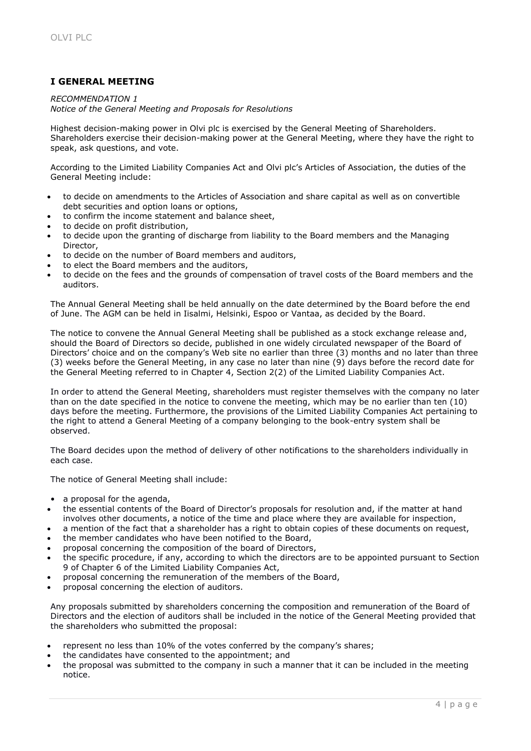## **I GENERAL MEETING**

## *RECOMMENDATION 1*

*Notice of the General Meeting and Proposals for Resolutions*

Highest decision-making power in Olvi plc is exercised by the General Meeting of Shareholders. Shareholders exercise their decision-making power at the General Meeting, where they have the right to speak, ask questions, and vote.

According to the Limited Liability Companies Act and Olvi plc's Articles of Association, the duties of the General Meeting include:

- to decide on amendments to the Articles of Association and share capital as well as on convertible debt securities and option loans or options,
- to confirm the income statement and balance sheet,
- to decide on profit distribution,
- to decide upon the granting of discharge from liability to the Board members and the Managing Director,
- to decide on the number of Board members and auditors,
- to elect the Board members and the auditors,
- to decide on the fees and the grounds of compensation of travel costs of the Board members and the auditors.

The Annual General Meeting shall be held annually on the date determined by the Board before the end of June. The AGM can be held in Iisalmi, Helsinki, Espoo or Vantaa, as decided by the Board.

The notice to convene the Annual General Meeting shall be published as a stock exchange release and, should the Board of Directors so decide, published in one widely circulated newspaper of the Board of Directors' choice and on the company's Web site no earlier than three (3) months and no later than three (3) weeks before the General Meeting, in any case no later than nine (9) days before the record date for the General Meeting referred to in Chapter 4, Section 2(2) of the Limited Liability Companies Act.

In order to attend the General Meeting, shareholders must register themselves with the company no later than on the date specified in the notice to convene the meeting, which may be no earlier than ten (10) days before the meeting. Furthermore, the provisions of the Limited Liability Companies Act pertaining to the right to attend a General Meeting of a company belonging to the book-entry system shall be observed.

The Board decides upon the method of delivery of other notifications to the shareholders individually in each case.

The notice of General Meeting shall include:

- a proposal for the agenda,
- the essential contents of the Board of Director's proposals for resolution and, if the matter at hand involves other documents, a notice of the time and place where they are available for inspection,
- a mention of the fact that a shareholder has a right to obtain copies of these documents on request,
- the member candidates who have been notified to the Board,
- proposal concerning the composition of the board of Directors,
- the specific procedure, if any, according to which the directors are to be appointed pursuant to Section 9 of Chapter 6 of the Limited Liability Companies Act,
- proposal concerning the remuneration of the members of the Board,
- proposal concerning the election of auditors.

Any proposals submitted by shareholders concerning the composition and remuneration of the Board of Directors and the election of auditors shall be included in the notice of the General Meeting provided that the shareholders who submitted the proposal:

- represent no less than 10% of the votes conferred by the company's shares;
- the candidates have consented to the appointment; and
- the proposal was submitted to the company in such a manner that it can be included in the meeting notice.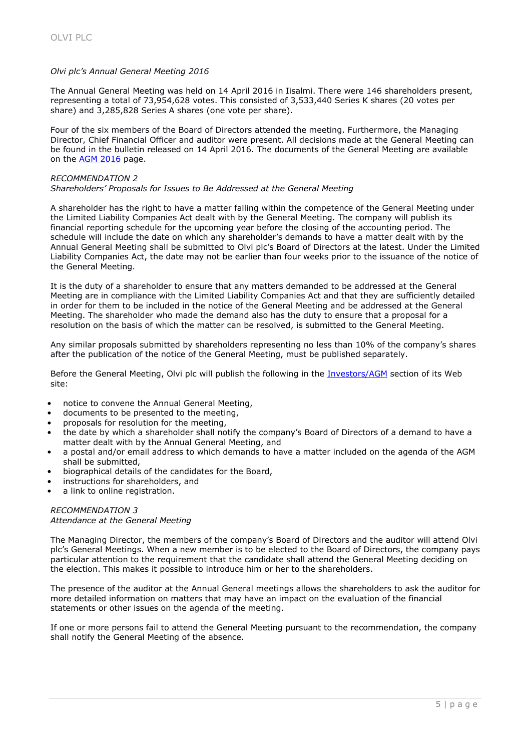## *Olvi plc's Annual General Meeting 2016*

The Annual General Meeting was held on 14 April 2016 in Iisalmi. There were 146 shareholders present, representing a total of 73,954,628 votes. This consisted of 3,533,440 Series K shares (20 votes per share) and 3,285,828 Series A shares (one vote per share).

Four of the six members of the Board of Directors attended the meeting. Furthermore, the Managing Director, Chief Financial Officer and auditor were present. All decisions made at the General Meeting can be found in the bulletin released on 14 April 2016. The documents of the General Meeting are available on the [AGM 2016](http://www.olvi.fi/web/en/378) page.

## *RECOMMENDATION 2*

## *Shareholders' Proposals for Issues to Be Addressed at the General Meeting*

A shareholder has the right to have a matter falling within the competence of the General Meeting under the Limited Liability Companies Act dealt with by the General Meeting. The company will publish its financial reporting schedule for the upcoming year before the closing of the accounting period. The schedule will include the date on which any shareholder's demands to have a matter dealt with by the Annual General Meeting shall be submitted to Olvi plc's Board of Directors at the latest. Under the Limited Liability Companies Act, the date may not be earlier than four weeks prior to the issuance of the notice of the General Meeting.

It is the duty of a shareholder to ensure that any matters demanded to be addressed at the General Meeting are in compliance with the Limited Liability Companies Act and that they are sufficiently detailed in order for them to be included in the notice of the General Meeting and be addressed at the General Meeting. The shareholder who made the demand also has the duty to ensure that a proposal for a resolution on the basis of which the matter can be resolved, is submitted to the General Meeting.

Any similar proposals submitted by shareholders representing no less than 10% of the company's shares after the publication of the notice of the General Meeting, must be published separately.

Before the General Meeting, Olvi plc will publish the following in the [Investors/AGM](http://www.olvi.fi/web/en/94) section of its Web site:

- notice to convene the Annual General Meeting,
- documents to be presented to the meeting,
- proposals for resolution for the meeting,
- the date by which a shareholder shall notify the company's Board of Directors of a demand to have a matter dealt with by the Annual General Meeting, and
- a postal and/or email address to which demands to have a matter included on the agenda of the AGM shall be submitted,
- biographical details of the candidates for the Board,
- instructions for shareholders, and
- a link to online registration.

## *RECOMMENDATION 3 Attendance at the General Meeting*

The Managing Director, the members of the company's Board of Directors and the auditor will attend Olvi plc's General Meetings. When a new member is to be elected to the Board of Directors, the company pays particular attention to the requirement that the candidate shall attend the General Meeting deciding on the election. This makes it possible to introduce him or her to the shareholders.

The presence of the auditor at the Annual General meetings allows the shareholders to ask the auditor for more detailed information on matters that may have an impact on the evaluation of the financial statements or other issues on the agenda of the meeting.

If one or more persons fail to attend the General Meeting pursuant to the recommendation, the company shall notify the General Meeting of the absence.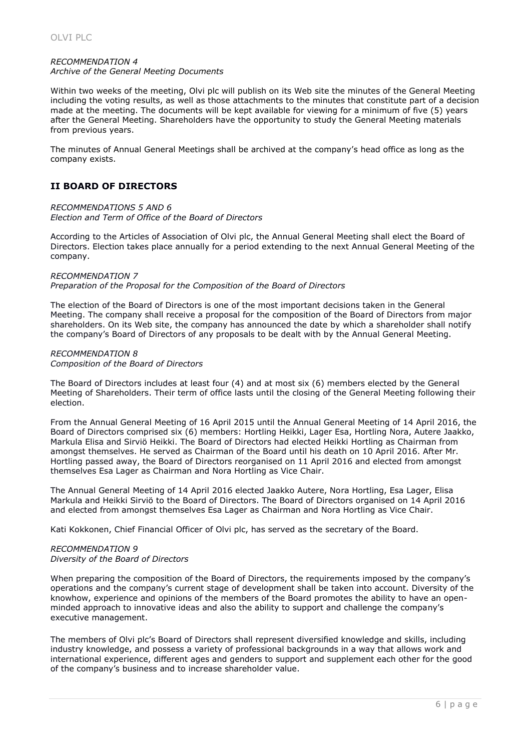## *RECOMMENDATION 4 Archive of the General Meeting Documents*

Within two weeks of the meeting, Olvi plc will publish on its Web site the minutes of the General Meeting including the voting results, as well as those attachments to the minutes that constitute part of a decision made at the meeting. The documents will be kept available for viewing for a minimum of five (5) years after the General Meeting. Shareholders have the opportunity to study the General Meeting materials from previous years.

The minutes of Annual General Meetings shall be archived at the company's head office as long as the company exists.

## **II BOARD OF DIRECTORS**

*RECOMMENDATIONS 5 AND 6 Election and Term of Office of the Board of Directors*

According to the Articles of Association of Olvi plc, the Annual General Meeting shall elect the Board of Directors. Election takes place annually for a period extending to the next Annual General Meeting of the company.

## *RECOMMENDATION 7*

*Preparation of the Proposal for the Composition of the Board of Directors* 

The election of the Board of Directors is one of the most important decisions taken in the General Meeting. The company shall receive a proposal for the composition of the Board of Directors from major shareholders. On its Web site, the company has announced the date by which a shareholder shall notify the company's Board of Directors of any proposals to be dealt with by the Annual General Meeting.

#### *RECOMMENDATION 8 Composition of the Board of Directors*

The Board of Directors includes at least four (4) and at most six (6) members elected by the General Meeting of Shareholders. Their term of office lasts until the closing of the General Meeting following their election.

From the Annual General Meeting of 16 April 2015 until the Annual General Meeting of 14 April 2016, the Board of Directors comprised six (6) members: Hortling Heikki, Lager Esa, Hortling Nora, Autere Jaakko, Markula Elisa and Sirviö Heikki. The Board of Directors had elected Heikki Hortling as Chairman from amongst themselves. He served as Chairman of the Board until his death on 10 April 2016. After Mr. Hortling passed away, the Board of Directors reorganised on 11 April 2016 and elected from amongst themselves Esa Lager as Chairman and Nora Hortling as Vice Chair.

The Annual General Meeting of 14 April 2016 elected Jaakko Autere, Nora Hortling, Esa Lager, Elisa Markula and Heikki Sirviö to the Board of Directors. The Board of Directors organised on 14 April 2016 and elected from amongst themselves Esa Lager as Chairman and Nora Hortling as Vice Chair.

Kati Kokkonen, Chief Financial Officer of Olvi plc, has served as the secretary of the Board.

## *RECOMMENDATION 9 Diversity of the Board of Directors*

When preparing the composition of the Board of Directors, the requirements imposed by the company's operations and the company's current stage of development shall be taken into account. Diversity of the knowhow, experience and opinions of the members of the Board promotes the ability to have an openminded approach to innovative ideas and also the ability to support and challenge the company's executive management.

The members of Olvi plc's Board of Directors shall represent diversified knowledge and skills, including industry knowledge, and possess a variety of professional backgrounds in a way that allows work and international experience, different ages and genders to support and supplement each other for the good of the company's business and to increase shareholder value.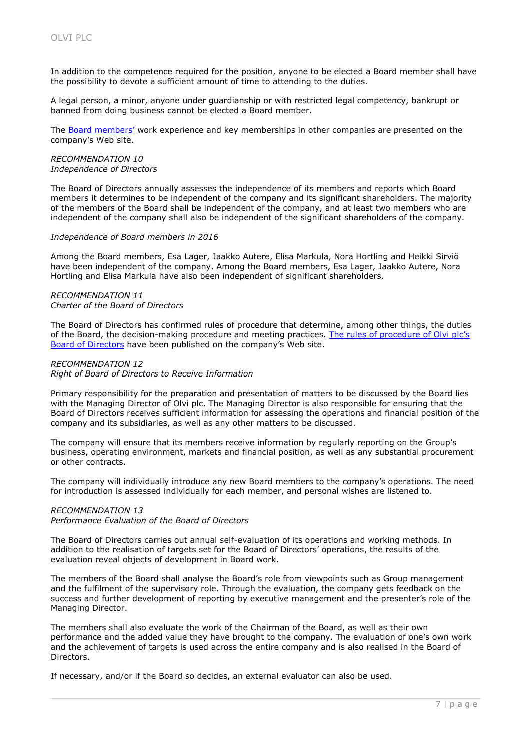In addition to the competence required for the position, anyone to be elected a Board member shall have the possibility to devote a sufficient amount of time to attending to the duties.

A legal person, a minor, anyone under guardianship or with restricted legal competency, bankrupt or banned from doing business cannot be elected a Board member.

The [Board members'](http://www.olvi.fi/web/en/150) work experience and key memberships in other companies are presented on the company's Web site.

#### *RECOMMENDATION 10 Independence of Directors*

The Board of Directors annually assesses the independence of its members and reports which Board members it determines to be independent of the company and its significant shareholders. The majority of the members of the Board shall be independent of the company, and at least two members who are independent of the company shall also be independent of the significant shareholders of the company.

## *Independence of Board members in 2016*

Among the Board members, Esa Lager, Jaakko Autere, Elisa Markula, Nora Hortling and Heikki Sirviö have been independent of the company. Among the Board members, Esa Lager, Jaakko Autere, Nora Hortling and Elisa Markula have also been independent of significant shareholders.

#### *RECOMMENDATION 11 Charter of the Board of Directors*

The Board of Directors has confirmed rules of procedure that determine, among other things, the duties of the Board, the decision-making procedure and meeting practices. [The rules of procedure of Olv](http://www.olvi.fi/c/document_library/get_file?folderId=15184&name=DLFE-16505.pdf)i plc's [Board of Directors](http://www.olvi.fi/c/document_library/get_file?folderId=15184&name=DLFE-16505.pdf) have been published on the company's Web site.

## *RECOMMENDATION 12 Right of Board of Directors to Receive Information*

Primary responsibility for the preparation and presentation of matters to be discussed by the Board lies with the Managing Director of Olvi plc. The Managing Director is also responsible for ensuring that the Board of Directors receives sufficient information for assessing the operations and financial position of the company and its subsidiaries, as well as any other matters to be discussed.

The company will ensure that its members receive information by regularly reporting on the Group's business, operating environment, markets and financial position, as well as any substantial procurement or other contracts.

The company will individually introduce any new Board members to the company's operations. The need for introduction is assessed individually for each member, and personal wishes are listened to.

## *RECOMMENDATION 13*

*Performance Evaluation of the Board of Directors*

The Board of Directors carries out annual self-evaluation of its operations and working methods. In addition to the realisation of targets set for the Board of Directors' operations, the results of the evaluation reveal objects of development in Board work.

The members of the Board shall analyse the Board's role from viewpoints such as Group management and the fulfilment of the supervisory role. Through the evaluation, the company gets feedback on the success and further development of reporting by executive management and the presenter's role of the Managing Director.

The members shall also evaluate the work of the Chairman of the Board, as well as their own performance and the added value they have brought to the company. The evaluation of one's own work and the achievement of targets is used across the entire company and is also realised in the Board of Directors.

If necessary, and/or if the Board so decides, an external evaluator can also be used.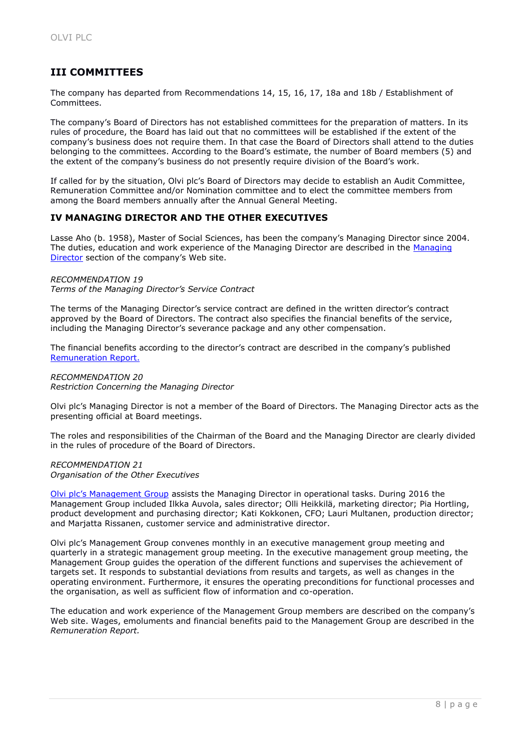## **III COMMITTEES**

The company has departed from Recommendations 14, 15, 16, 17, 18a and 18b / Establishment of Committees.

The company's Board of Directors has not established committees for the preparation of matters. In its rules of procedure, the Board has laid out that no committees will be established if the extent of the company's business does not require them. In that case the Board of Directors shall attend to the duties belonging to the committees. According to the Board's estimate, the number of Board members (5) and the extent of the company's business do not presently require division of the Board's work.

If called for by the situation, Olvi plc's Board of Directors may decide to establish an Audit Committee, Remuneration Committee and/or Nomination committee and to elect the committee members from among the Board members annually after the Annual General Meeting.

## **IV MANAGING DIRECTOR AND THE OTHER EXECUTIVES**

Lasse Aho (b. 1958), Master of Social Sciences, has been the company's Managing Director since 2004. The duties, education and work experience of the Managing Director are described in the [Managing](http://www.olvi.fi/web/en/96)  [Director](http://www.olvi.fi/web/en/96) section of the company's Web site.

## *RECOMMENDATION 19*

*Terms of the Managing Director's Service Contract*

The terms of the Managing Director's service contract are defined in the written director's contract approved by the Board of Directors. The contract also specifies the financial benefits of the service, including the Managing Director's severance package and any other compensation.

The financial benefits according to the director's contract are described in the company's published [Remuneration Report.](http://www.olvi.fi/web/en/99)

#### *RECOMMENDATION 20 Restriction Concerning the Managing Director*

Olvi plc's Managing Director is not a member of the Board of Directors. The Managing Director acts as the presenting official at Board meetings.

The roles and responsibilities of the Chairman of the Board and the Managing Director are clearly divided in the rules of procedure of the Board of Directors.

#### *RECOMMENDATION 21 Organisation of the Other Executives*

[Olvi plc's Management Group](http://www.olvi.fi/web/en/151) assists the Managing Director in operational tasks. During 2016 the Management Group included Ilkka Auvola, sales director; Olli Heikkilä, marketing director; Pia Hortling, product development and purchasing director; Kati Kokkonen, CFO; Lauri Multanen, production director; and Marjatta Rissanen, customer service and administrative director.

Olvi plc's Management Group convenes monthly in an executive management group meeting and quarterly in a strategic management group meeting. In the executive management group meeting, the Management Group guides the operation of the different functions and supervises the achievement of targets set. It responds to substantial deviations from results and targets, as well as changes in the operating environment. Furthermore, it ensures the operating preconditions for functional processes and the organisation, as well as sufficient flow of information and co-operation.

The education and work experience of the Management Group members are described on the company's Web site. Wages, emoluments and financial benefits paid to the Management Group are described in the *Remuneration Report.*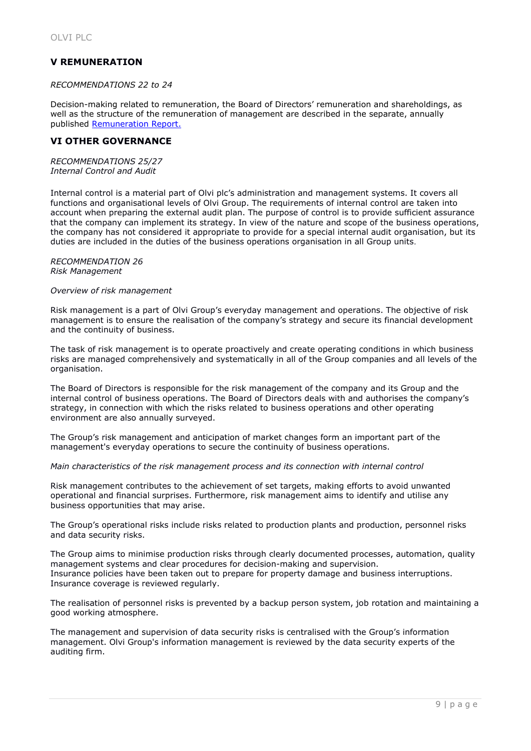## **V REMUNERATION**

## *RECOMMENDATIONS 22 to 24*

Decision-making related to remuneration, the Board of Directors' remuneration and shareholdings, as well as the structure of the remuneration of management are described in the separate, annually published [Remuneration Report.](http://www.olvi.fi/web/en/99)

## **VI OTHER GOVERNANCE**

*RECOMMENDATIONS 25/27 Internal Control and Audit*

Internal control is a material part of Olvi plc's administration and management systems. It covers all functions and organisational levels of Olvi Group. The requirements of internal control are taken into account when preparing the external audit plan. The purpose of control is to provide sufficient assurance that the company can implement its strategy. In view of the nature and scope of the business operations, the company has not considered it appropriate to provide for a special internal audit organisation, but its duties are included in the duties of the business operations organisation in all Group units.

#### *RECOMMENDATION 26 Risk Management*

## *Overview of risk management*

Risk management is a part of Olvi Group's everyday management and operations. The objective of risk management is to ensure the realisation of the company's strategy and secure its financial development and the continuity of business.

The task of risk management is to operate proactively and create operating conditions in which business risks are managed comprehensively and systematically in all of the Group companies and all levels of the organisation.

The Board of Directors is responsible for the risk management of the company and its Group and the internal control of business operations. The Board of Directors deals with and authorises the company's strategy, in connection with which the risks related to business operations and other operating environment are also annually surveyed.

The Group's risk management and anticipation of market changes form an important part of the management's everyday operations to secure the continuity of business operations.

*Main characteristics of the risk management process and its connection with internal control*

Risk management contributes to the achievement of set targets, making efforts to avoid unwanted operational and financial surprises. Furthermore, risk management aims to identify and utilise any business opportunities that may arise.

The Group's operational risks include risks related to production plants and production, personnel risks and data security risks.

The Group aims to minimise production risks through clearly documented processes, automation, quality management systems and clear procedures for decision-making and supervision. Insurance policies have been taken out to prepare for property damage and business interruptions. Insurance coverage is reviewed regularly.

The realisation of personnel risks is prevented by a backup person system, job rotation and maintaining a good working atmosphere.

The management and supervision of data security risks is centralised with the Group's information management. Olvi Group's information management is reviewed by the data security experts of the auditing firm.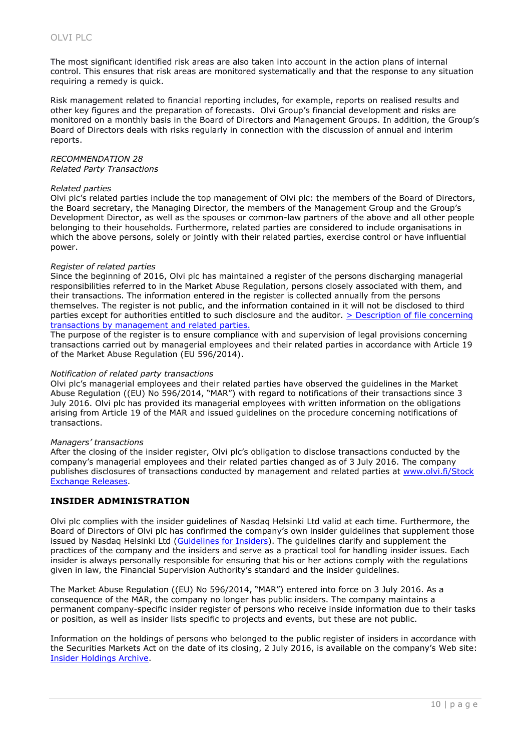The most significant identified risk areas are also taken into account in the action plans of internal control. This ensures that risk areas are monitored systematically and that the response to any situation requiring a remedy is quick.

Risk management related to financial reporting includes, for example, reports on realised results and other key figures and the preparation of forecasts. Olvi Group's financial development and risks are monitored on a monthly basis in the Board of Directors and Management Groups. In addition, the Group's Board of Directors deals with risks regularly in connection with the discussion of annual and interim reports.

#### *RECOMMENDATION 28 Related Party Transactions*

## *Related parties*

Olvi plc's related parties include the top management of Olvi plc: the members of the Board of Directors, the Board secretary, the Managing Director, the members of the Management Group and the Group's Development Director, as well as the spouses or common-law partners of the above and all other people belonging to their households. Furthermore, related parties are considered to include organisations in which the above persons, solely or jointly with their related parties, exercise control or have influential power.

## *Register of related parties*

Since the beginning of 2016, Olvi plc has maintained a register of the persons discharging managerial responsibilities referred to in the Market Abuse Regulation, persons closely associated with them, and their transactions. The information entered in the register is collected annually from the persons themselves. The register is not public, and the information contained in it will not be disclosed to third parties except for authorities entitled to such disclosure and the auditor. [> Description of file concerning](http://www.olvi.fi/c/document_library/get_file?folderId=574083&name=DLFE-15729.pdf)  [transactions by management and related parties.](http://www.olvi.fi/c/document_library/get_file?folderId=574083&name=DLFE-15729.pdf)

The purpose of the register is to ensure compliance with and supervision of legal provisions concerning transactions carried out by managerial employees and their related parties in accordance with Article 19 of the Market Abuse Regulation (EU 596/2014).

## *Notification of related party transactions*

Olvi plc's managerial employees and their related parties have observed the guidelines in the Market Abuse Regulation ((EU) No 596/2014, "MAR") with regard to notifications of their transactions since 3 July 2016. Olvi plc has provided its managerial employees with written information on the obligations arising from Article 19 of the MAR and issued guidelines on the procedure concerning notifications of transactions.

#### *Managers' transactions*

After the closing of the insider register, Olvi plc's obligation to disclose transactions conducted by the company's managerial employees and their related parties changed as of 3 July 2016. The company publishes disclosures of transactions conducted by management and related parties at www.olvi.fi/Stock Exchange Releases.

## **INSIDER ADMINISTRATION**

Olvi plc complies with the insider guidelines of Nasdaq Helsinki Ltd valid at each time. Furthermore, the Board of Directors of Olvi plc has confirmed the company's own insider guidelines that supplement those issued by Nasdaq Helsinki Ltd [\(Guidelines for Insiders\)](http://business.nasdaq.com/Docs/Nasdaq-Helsinki-Guidelines-for-Insiders_EN.pdf). The guidelines clarify and supplement the practices of the company and the insiders and serve as a practical tool for handling insider issues. Each insider is always personally responsible for ensuring that his or her actions comply with the regulations given in law, the Financial Supervision Authority's standard and the insider guidelines.

The Market Abuse Regulation ((EU) No 596/2014, "MAR") entered into force on 3 July 2016. As a consequence of the MAR, the company no longer has public insiders. The company maintains a permanent company-specific insider register of persons who receive inside information due to their tasks or position, as well as insider lists specific to projects and events, but these are not public.

Information on the holdings of persons who belonged to the public register of insiders in accordance with the Securities Markets Act on the date of its closing, 2 July 2016, is available on the company's Web site: [Insider Holdings Archive.](http://www.olvi.fi/web/en/76)